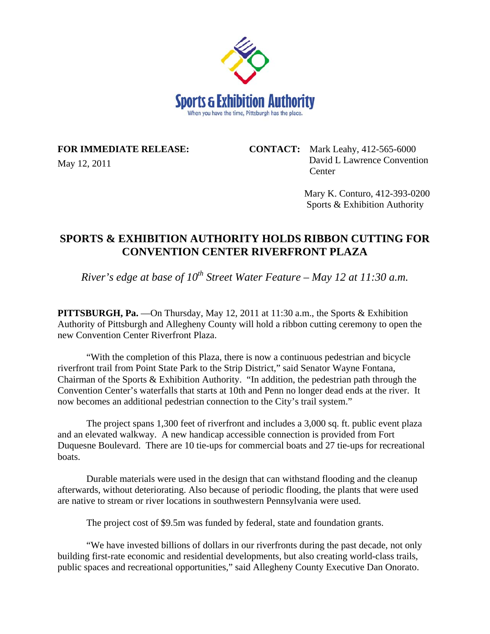

## **FOR IMMEDIATE RELEASE:**

May 12, 2011

**CONTACT:** Mark Leahy, 412-565-6000 David L Lawrence Convention **Center** 

> Mary K. Conturo, 412-393-0200 Sports & Exhibition Authority

## **SPORTS & EXHIBITION AUTHORITY HOLDS RIBBON CUTTING FOR CONVENTION CENTER RIVERFRONT PLAZA**

*River's edge at base of 10th Street Water Feature – May 12 at 11:30 a.m.* 

**PITTSBURGH, Pa.** —On Thursday, May 12, 2011 at 11:30 a.m., the Sports & Exhibition Authority of Pittsburgh and Allegheny County will hold a ribbon cutting ceremony to open the new Convention Center Riverfront Plaza.

 "With the completion of this Plaza, there is now a continuous pedestrian and bicycle riverfront trail from Point State Park to the Strip District," said Senator Wayne Fontana, Chairman of the Sports & Exhibition Authority. "In addition, the pedestrian path through the Convention Center's waterfalls that starts at 10th and Penn no longer dead ends at the river. It now becomes an additional pedestrian connection to the City's trail system."

 The project spans 1,300 feet of riverfront and includes a 3,000 sq. ft. public event plaza and an elevated walkway. A new handicap accessible connection is provided from Fort Duquesne Boulevard. There are 10 tie-ups for commercial boats and 27 tie-ups for recreational boats.

 Durable materials were used in the design that can withstand flooding and the cleanup afterwards, without deteriorating. Also because of periodic flooding, the plants that were used are native to stream or river locations in southwestern Pennsylvania were used.

The project cost of \$9.5m was funded by federal, state and foundation grants.

 "We have invested billions of dollars in our riverfronts during the past decade, not only building first-rate economic and residential developments, but also creating world-class trails, public spaces and recreational opportunities," said Allegheny County Executive Dan Onorato.